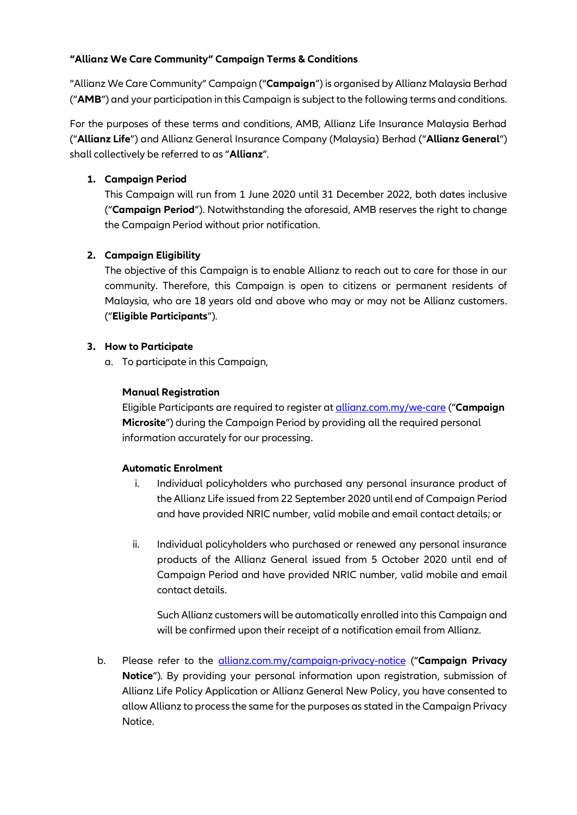# **"Allianz We Care Community" Campaign Terms & Conditions**

"Allianz We Care Community" Campaign ("**Campaign**") is organised by Allianz Malaysia Berhad ("**AMB**") and your participation in this Campaign is subject to the following terms and conditions.

For the purposes of these terms and conditions, AMB, Allianz Life Insurance Malaysia Berhad ("**Allianz Life**") and Allianz General Insurance Company (Malaysia) Berhad ("**Allianz General**") shall collectively be referred to as "**Allianz**".

# **1. Campaign Period**

This Campaign will run from 1 June 2020 until 31 December 2022, both dates inclusive ("**Campaign Period**"). Notwithstanding the aforesaid, AMB reserves the right to change the Campaign Period without prior notification.

# **2. Campaign Eligibility**

The objective of this Campaign is to enable Allianz to reach out to care for those in our community. Therefore, this Campaign is open to citizens or permanent residents of Malaysia, who are 18 years old and above who may or may not be Allianz customers. ("**Eligible Participants**").

### **3. How to Participate**

a. To participate in this Campaign,

### **Manual Registration**

Eligible Participants are required to register a[t allianz.com.my/we-care](https://www.allianz.com.my/We-Care) ("**Campaign Microsite**") during the Campaign Period by providing all the required personal information accurately for our processing.

### **Automatic Enrolment**

- i. Individual policyholders who purchased any personal insurance product of the Allianz Life issued from 22 September 2020 until end of Campaign Period and have provided NRIC number, valid mobile and email contact details; or
- ii. Individual policyholders who purchased or renewed any personal insurance products of the Allianz General issued from 5 October 2020 until end of Campaign Period and have provided NRIC number, valid mobile and email contact details.

Such Allianz customers will be automatically enrolled into this Campaign and will be confirmed upon their receipt of a notification email from Allianz.

b. Please refer to the [allianz.com.my/campaign-privacy-notice](https://www.allianz.com.my/campaign-privacy-notice) ("**Campaign Privacy Notice**"). By providing your personal information upon registration, submission of Allianz Life Policy Application or Allianz General New Policy, you have consented to allow Allianz to process the same for the purposes as stated in the Campaign Privacy Notice.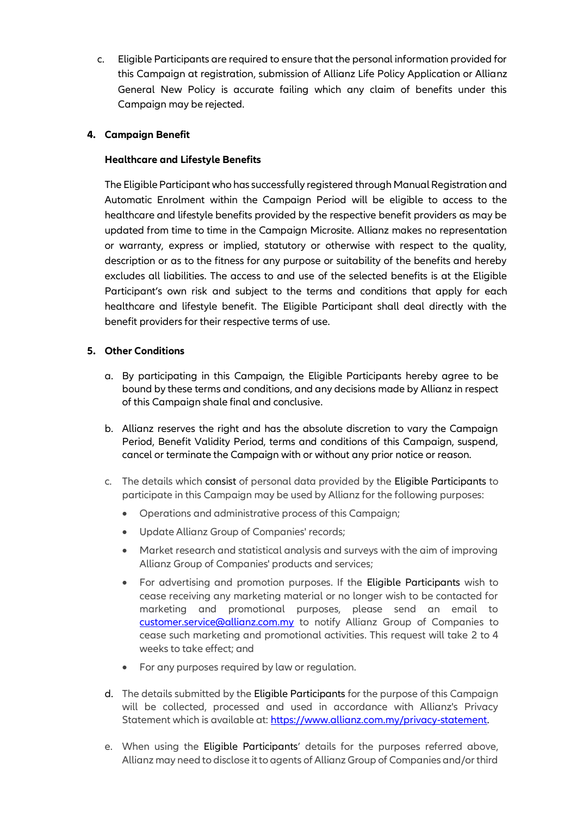c. Eligible Participants are required to ensure that the personal information provided for this Campaign at registration, submission of Allianz Life Policy Application or Allianz General New Policy is accurate failing which any claim of benefits under this Campaign may be rejected.

# **4. Campaign Benefit**

# **Healthcare and Lifestyle Benefits**

The Eligible Participant who has successfully registered through Manual Registration and Automatic Enrolment within the Campaign Period will be eligible to access to the healthcare and lifestyle benefits provided by the respective benefit providers as may be updated from time to time in the Campaign Microsite. Allianz makes no representation or warranty, express or implied, statutory or otherwise with respect to the quality, description or as to the fitness for any purpose or suitability of the benefits and hereby excludes all liabilities. The access to and use of the selected benefits is at the Eligible Participant's own risk and subject to the terms and conditions that apply for each healthcare and lifestyle benefit. The Eligible Participant shall deal directly with the benefit providers for their respective terms of use.

# **5. Other Conditions**

- a. By participating in this Campaign, the Eligible Participants hereby agree to be bound by these terms and conditions, and any decisions made by Allianz in respect of this Campaign shale final and conclusive.
- b. Allianz reserves the right and has the absolute discretion to vary the Campaign Period, Benefit Validity Period, terms and conditions of this Campaign, suspend, cancel or terminate the Campaign with or without any prior notice or reason.
- c. The details which consist of personal data provided by the Eligible Participants to participate in this Campaign may be used by Allianz for the following purposes:
	- Operations and administrative process of this Campaign;
	- Update Allianz Group of Companies' records;
	- Market research and statistical analysis and surveys with the aim of improving Allianz Group of Companies' products and services;
	- For advertising and promotion purposes. If the Eligible Participants wish to cease receiving any marketing material or no longer wish to be contacted for marketing and promotional purposes, please send an email to [customer.service@allianz.com.my](mailto:customer.service@allianz.com.my) to notify Allianz Group of Companies to cease such marketing and promotional activities. This request will take 2 to 4 weeks to take effect; and
	- For any purposes required by law or regulation.
- d. The details submitted by the Eligible Participants for the purpose of this Campaign will be collected, processed and used in accordance with Allianz's Privacy Statement which is available at: [https://www.allianz.com.my/privacy-statement.](https://www.allianz.com.my/privacy-statement)
- e. When using the Eligible Participants' details for the purposes referred above, Allianz may need to disclose it to agents of Allianz Group of Companies and/or third